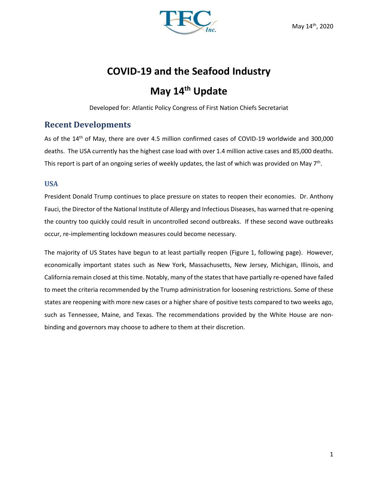

# **COVID-19 and the Seafood Industry**

# **May 14th Update**

Developed for: Atlantic Policy Congress of First Nation Chiefs Secretariat

## **Recent Developments**

As of the 14<sup>th</sup> of May, there are over 4.5 million confirmed cases of COVID-19 worldwide and 300,000 deaths. The USA currently has the highest case load with over 1.4 million active cases and 85,000 deaths. This report is part of an ongoing series of weekly updates, the last of which was provided on May 7<sup>th</sup>.

## **USA**

President Donald Trump continues to place pressure on states to reopen their economies. Dr. Anthony Fauci, the Director of the National Institute of Allergy and Infectious Diseases, has warned that re-opening the country too quickly could result in uncontrolled second outbreaks. If these second wave outbreaks occur, re-implementing lockdown measures could become necessary.

The majority of US States have begun to at least partially reopen (Figure 1, following page). However, economically important states such as New York, Massachusetts, New Jersey, Michigan, Illinois, and California remain closed at this time. Notably, many of the states that have partially re-opened have failed to meet the criteria recommended by the Trump administration for loosening restrictions. Some of these states are reopening with more new cases or a higher share of positive tests compared to two weeks ago, such as Tennessee, Maine, and Texas. The recommendations provided by the White House are nonbinding and governors may choose to adhere to them at their discretion.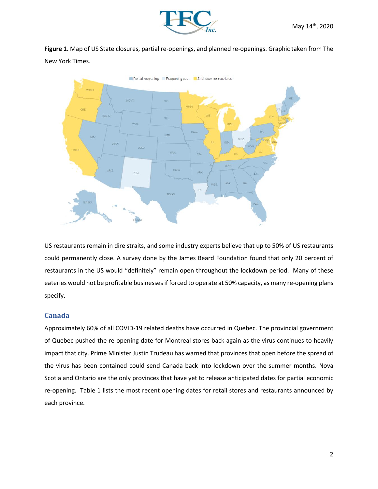

**Figure 1.** Map of US State closures, partial re-openings, and planned re-openings. Graphic taken from The New York Times.



US restaurants remain in dire straits, and some industry experts believe that up to 50% of US restaurants could permanently close. A survey done by the James Beard Foundation found that only 20 percent of restaurants in the US would "definitely" remain open throughout the lockdown period. Many of these eateries would not be profitable businesses if forced to operate at 50% capacity, as many re-opening plans specify.

### **Canada**

Approximately 60% of all COVID-19 related deaths have occurred in Quebec. The provincial government of Quebec pushed the re-opening date for Montreal stores back again as the virus continues to heavily impact that city. Prime Minister Justin Trudeau has warned that provinces that open before the spread of the virus has been contained could send Canada back into lockdown over the summer months. Nova Scotia and Ontario are the only provinces that have yet to release anticipated dates for partial economic re-opening. Table 1 lists the most recent opening dates for retail stores and restaurants announced by each province.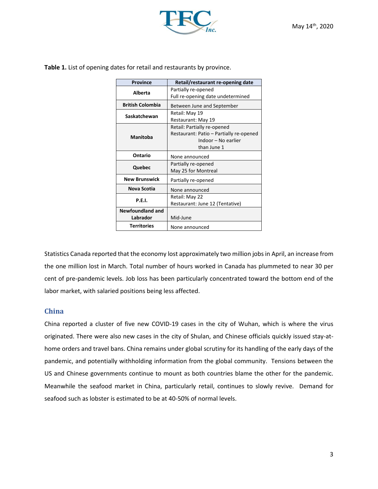

**Table 1.** List of opening dates for retail and restaurants by province.

| <b>Province</b>         | Retail/restaurant re-opening date       |
|-------------------------|-----------------------------------------|
| Alberta                 | Partially re-opened                     |
|                         | Full re-opening date undetermined       |
| <b>British Colombia</b> | Between June and September              |
| Saskatchewan            | Retail: May 19                          |
|                         | Restaurant: May 19                      |
| <b>Manitoba</b>         | Retail: Partially re-opened             |
|                         | Restaurant: Patio - Partially re-opened |
|                         | Indoor - No earlier                     |
|                         | than June 1                             |
| Ontario                 | None announced                          |
| Quebec                  | Partially re-opened                     |
|                         | May 25 for Montreal                     |
| <b>New Brunswick</b>    | Partially re-opened                     |
| Nova Scotia             | None announced                          |
| <b>P.E.I.</b>           | Retail: May 22                          |
|                         | Restaurant: June 12 (Tentative)         |
| Newfoundland and        |                                         |
| Labrador                | Mid-June                                |
| <b>Territories</b>      | None announced                          |

Statistics Canada reported that the economy lost approximately two million jobs in April, an increase from the one million lost in March. Total number of hours worked in Canada has plummeted to near 30 per cent of pre-pandemic levels. Job loss has been particularly concentrated toward the bottom end of the labor market, with salaried positions being less affected.

### **China**

China reported a cluster of five new COVID-19 cases in the city of Wuhan, which is where the virus originated. There were also new cases in the city of Shulan, and Chinese officials quickly issued stay-athome orders and travel bans. China remains under global scrutiny for its handling of the early days of the pandemic, and potentially withholding information from the global community. Tensions between the US and Chinese governments continue to mount as both countries blame the other for the pandemic. Meanwhile the seafood market in China, particularly retail, continues to slowly revive. Demand for seafood such as lobster is estimated to be at 40-50% of normal levels.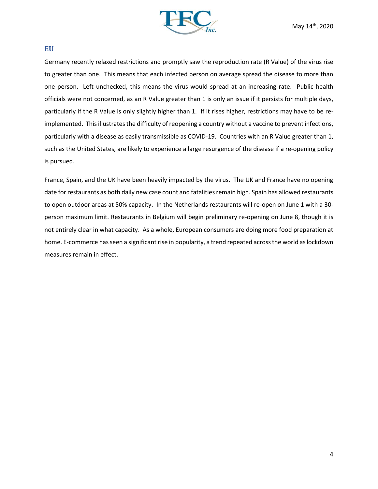

#### **EU**

Germany recently relaxed restrictions and promptly saw the reproduction rate (R Value) of the virus rise to greater than one. This means that each infected person on average spread the disease to more than one person. Left unchecked, this means the virus would spread at an increasing rate. Public health officials were not concerned, as an R Value greater than 1 is only an issue if it persists for multiple days, particularly if the R Value is only slightly higher than 1. If it rises higher, restrictions may have to be reimplemented. This illustrates the difficulty of reopening a country without a vaccine to prevent infections, particularly with a disease as easily transmissible as COVID-19. Countries with an R Value greater than 1, such as the United States, are likely to experience a large resurgence of the disease if a re-opening policy is pursued.

France, Spain, and the UK have been heavily impacted by the virus. The UK and France have no opening date for restaurants as both daily new case count and fatalities remain high. Spain has allowed restaurants to open outdoor areas at 50% capacity. In the Netherlands restaurants will re-open on June 1 with a 30 person maximum limit. Restaurants in Belgium will begin preliminary re-opening on June 8, though it is not entirely clear in what capacity. As a whole, European consumers are doing more food preparation at home. E-commerce has seen a significant rise in popularity, a trend repeated across the world as lockdown measures remain in effect.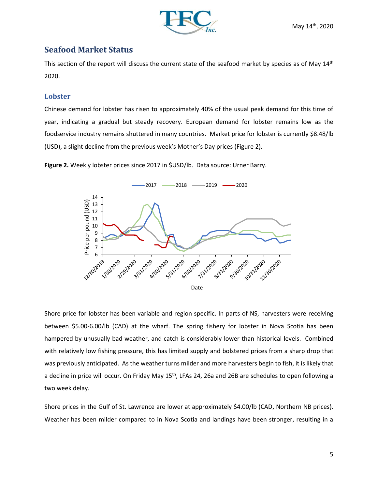

## **Seafood Market Status**

This section of the report will discuss the current state of the seafood market by species as of May 14<sup>th</sup> 2020.

## **Lobster**

Chinese demand for lobster has risen to approximately 40% of the usual peak demand for this time of year, indicating a gradual but steady recovery. European demand for lobster remains low as the foodservice industry remains shuttered in many countries. Market price for lobster is currently \$8.48/lb (USD), a slight decline from the previous week's Mother's Day prices (Figure 2).

**Figure 2.** Weekly lobster prices since 2017 in \$USD/lb. Data source: Urner Barry.



Shore price for lobster has been variable and region specific. In parts of NS, harvesters were receiving between \$5.00-6.00/lb (CAD) at the wharf. The spring fishery for lobster in Nova Scotia has been hampered by unusually bad weather, and catch is considerably lower than historical levels. Combined with relatively low fishing pressure, this has limited supply and bolstered prices from a sharp drop that was previously anticipated. As the weather turns milder and more harvesters begin to fish, it is likely that a decline in price will occur. On Friday May 15<sup>th</sup>, LFAs 24, 26a and 26B are schedules to open following a two week delay.

Shore prices in the Gulf of St. Lawrence are lower at approximately \$4.00/lb (CAD, Northern NB prices). Weather has been milder compared to in Nova Scotia and landings have been stronger, resulting in a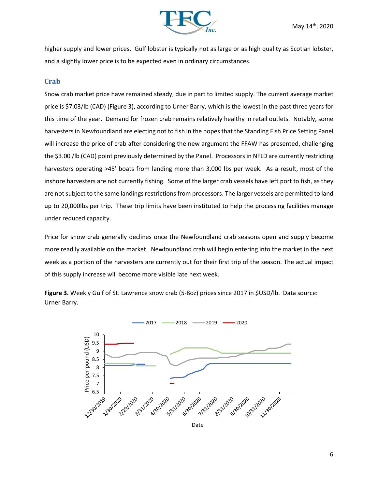

higher supply and lower prices. Gulf lobster is typically not as large or as high quality as Scotian lobster, and a slightly lower price is to be expected even in ordinary circumstances.

#### **Crab**

Snow crab market price have remained steady, due in part to limited supply. The current average market price is \$7.03/lb (CAD) (Figure 3), according to Urner Barry, which is the lowest in the past three years for this time of the year. Demand for frozen crab remains relatively healthy in retail outlets. Notably, some harvesters in Newfoundland are electing not to fish in the hopes that the Standing Fish Price Setting Panel will increase the price of crab after considering the new argument the FFAW has presented, challenging the \$3.00 /lb (CAD) point previously determined by the Panel. Processors in NFLD are currently restricting harvesters operating >45' boats from landing more than 3,000 lbs per week. As a result, most of the inshore harvesters are not currently fishing. Some of the larger crab vessels have left port to fish, as they are not subject to the same landings restrictions from processors. The larger vessels are permitted to land up to 20,000lbs per trip. These trip limits have been instituted to help the processing facilities manage under reduced capacity.

Price for snow crab generally declines once the Newfoundland crab seasons open and supply become more readily available on the market. Newfoundland crab will begin entering into the market in the next week as a portion of the harvesters are currently out for their first trip of the season. The actual impact of this supply increase will become more visible late next week.

**Figure 3.** Weekly Gulf of St. Lawrence snow crab (5-8oz) prices since 2017 in \$USD/lb. Data source: Urner Barry.

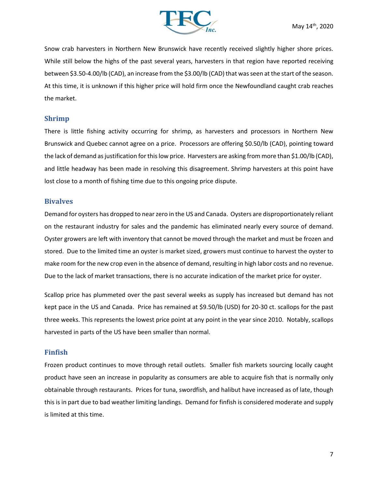

Snow crab harvesters in Northern New Brunswick have recently received slightly higher shore prices. While still below the highs of the past several years, harvesters in that region have reported receiving between \$3.50-4.00/lb (CAD), an increase from the \$3.00/lb (CAD) that was seen at the start of the season. At this time, it is unknown if this higher price will hold firm once the Newfoundland caught crab reaches the market.

#### **Shrimp**

There is little fishing activity occurring for shrimp, as harvesters and processors in Northern New Brunswick and Quebec cannot agree on a price. Processors are offering \$0.50/lb (CAD), pointing toward the lack of demand as justification for this low price. Harvesters are asking from more than \$1.00/lb (CAD), and little headway has been made in resolving this disagreement. Shrimp harvesters at this point have lost close to a month of fishing time due to this ongoing price dispute.

#### **Bivalves**

Demand for oysters has dropped to near zero in the US and Canada. Oysters are disproportionately reliant on the restaurant industry for sales and the pandemic has eliminated nearly every source of demand. Oyster growers are left with inventory that cannot be moved through the market and must be frozen and stored. Due to the limited time an oyster is market sized, growers must continue to harvest the oyster to make room for the new crop even in the absence of demand, resulting in high labor costs and no revenue. Due to the lack of market transactions, there is no accurate indication of the market price for oyster.

Scallop price has plummeted over the past several weeks as supply has increased but demand has not kept pace in the US and Canada. Price has remained at \$9.50/lb (USD) for 20-30 ct. scallops for the past three weeks. This represents the lowest price point at any point in the year since 2010. Notably, scallops harvested in parts of the US have been smaller than normal.

#### **Finfish**

Frozen product continues to move through retail outlets. Smaller fish markets sourcing locally caught product have seen an increase in popularity as consumers are able to acquire fish that is normally only obtainable through restaurants. Prices for tuna, swordfish, and halibut have increased as of late, though this is in part due to bad weather limiting landings. Demand for finfish is considered moderate and supply is limited at this time.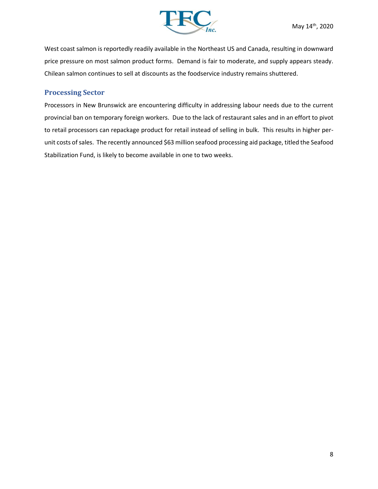

West coast salmon is reportedly readily available in the Northeast US and Canada, resulting in downward price pressure on most salmon product forms. Demand is fair to moderate, and supply appears steady. Chilean salmon continues to sell at discounts as the foodservice industry remains shuttered.

#### **Processing Sector**

Processors in New Brunswick are encountering difficulty in addressing labour needs due to the current provincial ban on temporary foreign workers. Due to the lack of restaurant sales and in an effort to pivot to retail processors can repackage product for retail instead of selling in bulk. This results in higher perunit costs of sales. The recently announced \$63 million seafood processing aid package, titled the Seafood Stabilization Fund, is likely to become available in one to two weeks.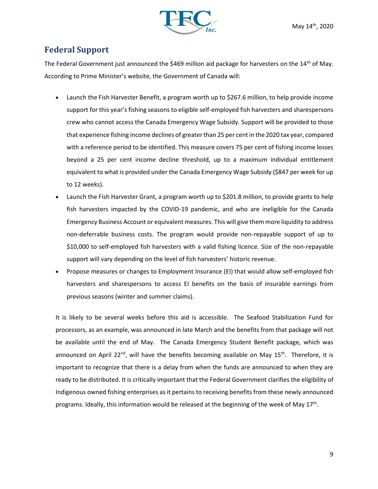

# **Federal Support**

The Federal Government just announced the \$469 million aid package for harvesters on the  $14<sup>th</sup>$  of May. According to Prime Minister's website, the Government of Canada will:

- Launch the Fish Harvester Benefit, a program worth up to \$267.6 million, to help provide income support for this year's fishing seasons to eligible self-employed fish harvesters and sharespersons crew who cannot access the Canada Emergency Wage Subsidy. Support will be provided to those that experience fishing income declines of greater than 25 per cent in the 2020 tax year, compared with a reference period to be identified. This measure covers 75 per cent of fishing income losses beyond a 25 per cent income decline threshold, up to a maximum individual entitlement equivalent to what is provided under the Canada Emergency Wage Subsidy (\$847 per week for up to 12 weeks).
- Launch the Fish Harvester Grant, a program worth up to \$201.8 million, to provide grants to help fish harvesters impacted by the COVID-19 pandemic, and who are ineligible for the Canada Emergency Business Account or equivalent measures. This will give them more liquidity to address non-deferrable business costs. The program would provide non-repayable support of up to \$10,000 to self-employed fish harvesters with a valid fishing licence. Size of the non-repayable support will vary depending on the level of fish harvesters' historic revenue.
- Propose measures or changes to Employment Insurance (EI) that would allow self-employed fish harvesters and sharespersons to access EI benefits on the basis of insurable earnings from previous seasons (winter and summer claims).

It is likely to be several weeks before this aid is accessible. The Seafood Stabilization Fund for processors, as an example, was announced in late March and the benefits from that package will not be available until the end of May. The Canada Emergency Student Benefit package, which was announced on April 22<sup>nd</sup>, will have the benefits becoming available on May 15<sup>th</sup>. Therefore, it is important to recognize that there is a delay from when the funds are announced to when they are ready to be distributed. It is critically important that the Federal Government clarifies the eligibility of Indigenous owned fishing enterprises as it pertains to receiving benefits from these newly announced programs. Ideally, this information would be released at the beginning of the week of May 17<sup>th</sup>.